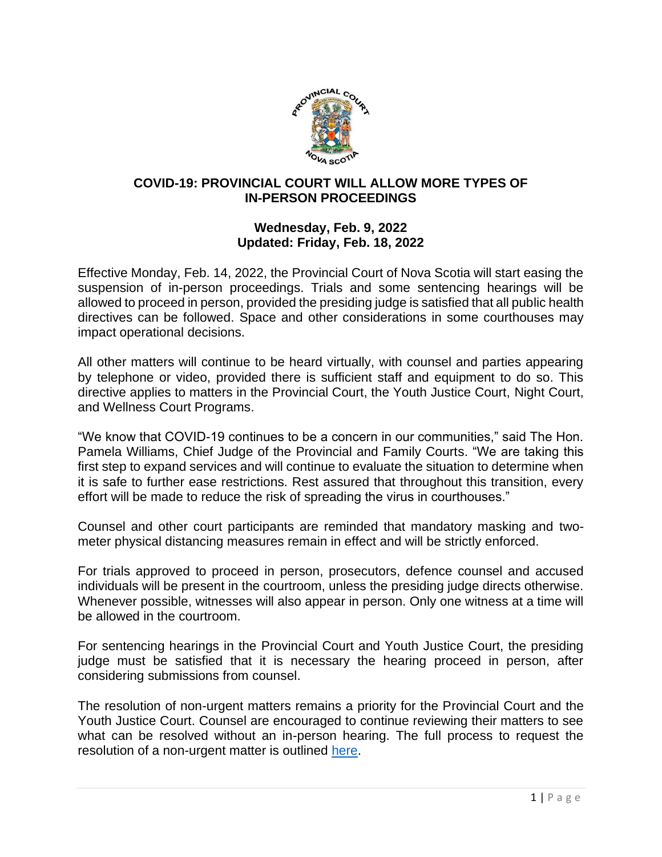

### **COVID-19: PROVINCIAL COURT WILL ALLOW MORE TYPES OF IN-PERSON PROCEEDINGS**

## **Wednesday, Feb. 9, 2022 Updated: Friday, Feb. 18, 2022**

Effective Monday, Feb. 14, 2022, the Provincial Court of Nova Scotia will start easing the suspension of in-person proceedings. Trials and some sentencing hearings will be allowed to proceed in person, provided the presiding judge is satisfied that all public health directives can be followed. Space and other considerations in some courthouses may impact operational decisions.

All other matters will continue to be heard virtually, with counsel and parties appearing by telephone or video, provided there is sufficient staff and equipment to do so. This directive applies to matters in the Provincial Court, the Youth Justice Court, Night Court, and Wellness Court Programs.

"We know that COVID-19 continues to be a concern in our communities," said The Hon. Pamela Williams, Chief Judge of the Provincial and Family Courts. "We are taking this first step to expand services and will continue to evaluate the situation to determine when it is safe to further ease restrictions. Rest assured that throughout this transition, every effort will be made to reduce the risk of spreading the virus in courthouses."

Counsel and other court participants are reminded that mandatory masking and twometer physical distancing measures remain in effect and will be strictly enforced.

For trials approved to proceed in person, prosecutors, defence counsel and accused individuals will be present in the courtroom, unless the presiding judge directs otherwise. Whenever possible, witnesses will also appear in person. Only one witness at a time will be allowed in the courtroom.

For sentencing hearings in the Provincial Court and Youth Justice Court, the presiding judge must be satisfied that it is necessary the hearing proceed in person, after considering submissions from counsel.

The resolution of non-urgent matters remains a priority for the Provincial Court and the Youth Justice Court. Counsel are encouraged to continue reviewing their matters to see what can be resolved without an in-person hearing. The full process to request the resolution of a non-urgent matter is outlined [here.](https://www.courts.ns.ca/News_of_Courts/documents/NSPC_Resolution_of_Non_Urgent_Matters_NR_04_09_20.pdf)